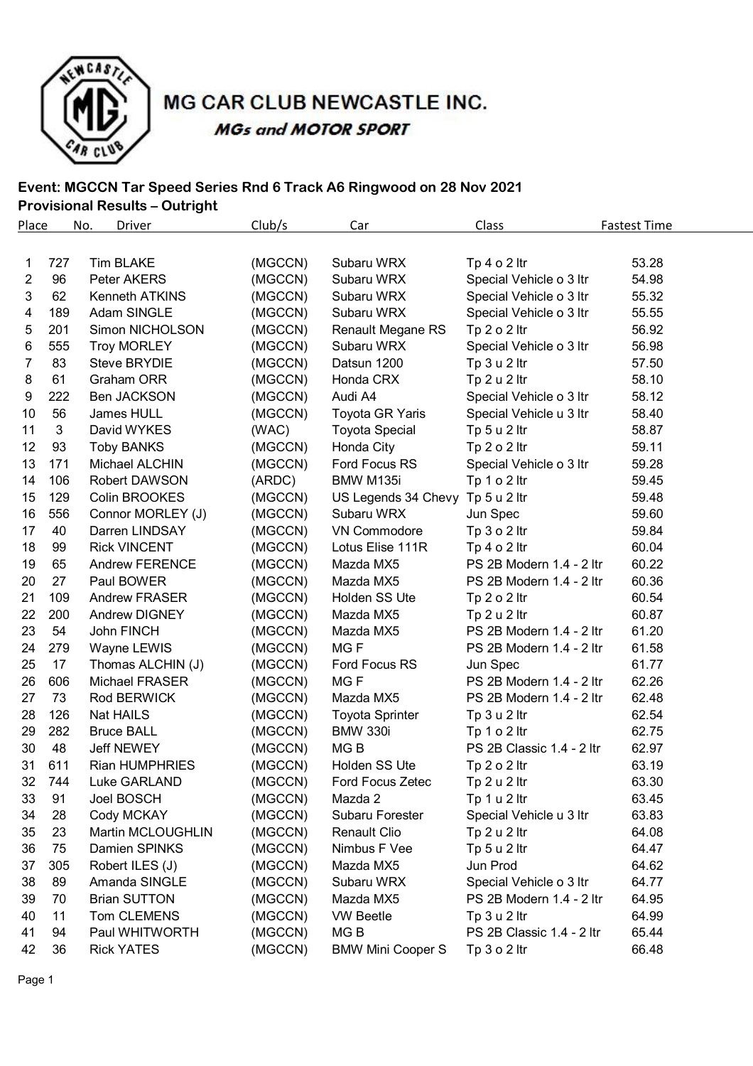

# MG CAR CLUB NEWCASTLE INC. **MGs and MOTOR SPORT**

#### **Event: MGCCN Tar Speed Series Rnd 6 Track A6 Ringwood on 28 Nov 2021 Provisional Results – Outright**

| Place          |     | No.<br>Driver         | Club/s  | Car                      | Class                     | <b>Fastest Time</b> |
|----------------|-----|-----------------------|---------|--------------------------|---------------------------|---------------------|
|                |     |                       |         |                          |                           |                     |
| 1              | 727 | <b>Tim BLAKE</b>      | (MGCCN) | Subaru WRX               | Tp $4 o 2$ ltr            | 53.28               |
| $\overline{2}$ | 96  | Peter AKERS           | (MGCCN) | Subaru WRX               | Special Vehicle o 3 ltr   | 54.98               |
| 3              | 62  | Kenneth ATKINS        | (MGCCN) | Subaru WRX               | Special Vehicle o 3 ltr   | 55.32               |
| 4              | 189 | Adam SINGLE           | (MGCCN) | Subaru WRX               | Special Vehicle o 3 ltr   | 55.55               |
| 5              | 201 | Simon NICHOLSON       | (MGCCN) | Renault Megane RS        | Tp 2 o 2 ltr              | 56.92               |
| 6              | 555 | <b>Troy MORLEY</b>    | (MGCCN) | Subaru WRX               | Special Vehicle o 3 ltr   | 56.98               |
| 7              | 83  | <b>Steve BRYDIE</b>   | (MGCCN) | Datsun 1200              | Tp 3 u 2 ltr              | 57.50               |
| 8              | 61  | Graham ORR            | (MGCCN) | Honda CRX                | Tp 2 u 2 ltr              | 58.10               |
| 9              | 222 | Ben JACKSON           | (MGCCN) | Audi A4                  | Special Vehicle o 3 ltr   | 58.12               |
| 10             | 56  | James HULL            | (MGCCN) | Toyota GR Yaris          | Special Vehicle u 3 ltr   | 58.40               |
| 11             | 3   | David WYKES           | (WAC)   | <b>Toyota Special</b>    | Tp 5 u 2 ltr              | 58.87               |
| 12             | 93  | <b>Toby BANKS</b>     | (MGCCN) | Honda City               | Tp $2 o 2$ ltr            | 59.11               |
| 13             | 171 | Michael ALCHIN        | (MGCCN) | Ford Focus RS            | Special Vehicle o 3 ltr   | 59.28               |
| 14             | 106 | Robert DAWSON         | (ARDC)  | BMW M135i                | Tp 1 o 2 ltr              | 59.45               |
| 15             | 129 | Colin BROOKES         | (MGCCN) | US Legends 34 Chevy      | Tp 5 u 2 ltr              | 59.48               |
| 16             | 556 | Connor MORLEY (J)     | (MGCCN) | Subaru WRX               | Jun Spec                  | 59.60               |
| 17             | 40  | Darren LINDSAY        | (MGCCN) | <b>VN Commodore</b>      | Tp $3 o 2$ ltr            | 59.84               |
| 18             | 99  | <b>Rick VINCENT</b>   | (MGCCN) | Lotus Elise 111R         | Tp $4 \circ 2$ ltr        | 60.04               |
| 19             | 65  | <b>Andrew FERENCE</b> | (MGCCN) | Mazda MX5                | PS 2B Modern 1.4 - 2 ltr  | 60.22               |
| 20             | 27  | Paul BOWER            | (MGCCN) | Mazda MX5                | PS 2B Modern 1.4 - 2 ltr  | 60.36               |
| 21             | 109 | <b>Andrew FRASER</b>  | (MGCCN) | Holden SS Ute            | Tp 2 o 2 ltr              | 60.54               |
| 22             | 200 | <b>Andrew DIGNEY</b>  | (MGCCN) | Mazda MX5                | Tp 2 u 2 ltr              | 60.87               |
| 23             | 54  | John FINCH            | (MGCCN) | Mazda MX5                | PS 2B Modern 1.4 - 2 ltr  | 61.20               |
| 24             | 279 | Wayne LEWIS           | (MGCCN) | MG <sub>F</sub>          | PS 2B Modern 1.4 - 2 ltr  | 61.58               |
| 25             | 17  | Thomas ALCHIN (J)     | (MGCCN) | Ford Focus RS            | Jun Spec                  | 61.77               |
| 26             | 606 | <b>Michael FRASER</b> | (MGCCN) | MG <sub>F</sub>          | PS 2B Modern 1.4 - 2 ltr  | 62.26               |
| 27             | 73  | Rod BERWICK           | (MGCCN) | Mazda MX5                | PS 2B Modern 1.4 - 2 ltr  | 62.48               |
| 28             | 126 | <b>Nat HAILS</b>      | (MGCCN) | <b>Toyota Sprinter</b>   | Tp 3 u 2 ltr              | 62.54               |
| 29             | 282 | <b>Bruce BALL</b>     | (MGCCN) | <b>BMW 330i</b>          | Tp 1 o 2 ltr              | 62.75               |
| 30             | 48  | <b>Jeff NEWEY</b>     | (MGCCN) | MG <sub>B</sub>          | PS 2B Classic 1.4 - 2 ltr | 62.97               |
| 31             | 611 | <b>Rian HUMPHRIES</b> | (MGCCN) | Holden SS Ute            | Tp 2 o 2 ltr              | 63.19               |
| 32             | 744 | Luke GARLAND          | (MGCCN) | Ford Focus Zetec         | Tp 2 u 2 ltr              | 63.30               |
| 33             | 91  | Joel BOSCH            | (MGCCN) | Mazda 2                  | Tp 1 u 2 ltr              | 63.45               |
| 34             | 28  | Cody MCKAY            | (MGCCN) | Subaru Forester          | Special Vehicle u 3 ltr   | 63.83               |
| 35             | 23  | Martin MCLOUGHLIN     | (MGCCN) | Renault Clio             | Tp 2 u 2 ltr              | 64.08               |
| 36             | 75  | Damien SPINKS         | (MGCCN) | Nimbus F Vee             | Tp 5 u 2 ltr              | 64.47               |
| 37             | 305 | Robert ILES (J)       | (MGCCN) | Mazda MX5                | Jun Prod                  | 64.62               |
| 38             | 89  | Amanda SINGLE         | (MGCCN) | Subaru WRX               | Special Vehicle o 3 ltr   | 64.77               |
| 39             | 70  | <b>Brian SUTTON</b>   | (MGCCN) | Mazda MX5                | PS 2B Modern 1.4 - 2 ltr  | 64.95               |
| 40             | 11  | Tom CLEMENS           | (MGCCN) | <b>VW Beetle</b>         | Tp 3 u 2 ltr              | 64.99               |
| 41             | 94  | Paul WHITWORTH        | (MGCCN) | MG <sub>B</sub>          | PS 2B Classic 1.4 - 2 ltr | 65.44               |
| 42             | 36  | <b>Rick YATES</b>     | (MGCCN) | <b>BMW Mini Cooper S</b> | Tp $3$ o $2$ ltr          | 66.48               |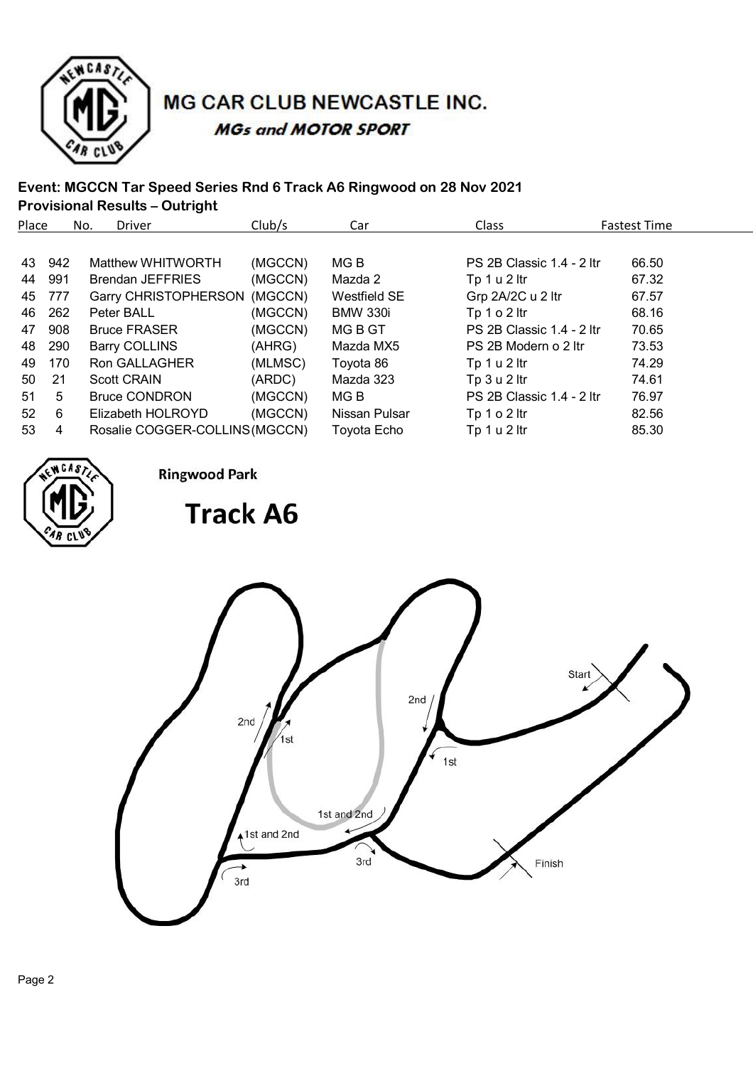

# MG CAR CLUB NEWCASTLE INC. **MGs and MOTOR SPORT**

### **Event: MGCCN Tar Speed Series Rnd 6 Track A6 Ringwood on 28 Nov 2021 Provisional Results – Outright**

| Place           |     | No. | <b>Driver</b>                  | Club/s  | Car             | <b>Class</b>              | <b>Fastest Time</b> |
|-----------------|-----|-----|--------------------------------|---------|-----------------|---------------------------|---------------------|
|                 |     |     |                                |         |                 |                           |                     |
| 43              | 942 |     | Matthew WHITWORTH              | (MGCCN) | MG B            | PS 2B Classic 1.4 - 2 ltr | 66.50               |
| 44              | 991 |     | <b>Brendan JEFFRIES</b>        | (MGCCN) | Mazda 2         | Tp 1 u 2 ltr              | 67.32               |
| 45              | 777 |     | Garry CHRISTOPHERSON           | (MGCCN) | Westfield SE    | Grp 2A/2C u 2 ltr         | 67.57               |
| 46              | 262 |     | Peter BALL                     | (MGCCN) | <b>BMW 330i</b> | Tp $1 o 2$ ltr            | 68.16               |
| 47              | 908 |     | <b>Bruce FRASER</b>            | (MGCCN) | MG B GT         | PS 2B Classic 1.4 - 2 ltr | 70.65               |
| 48              | 290 |     | Barry COLLINS                  | (AHRG)  | Mazda MX5       | PS 2B Modern o 2 ltr      | 73.53               |
| 49              | 170 |     | <b>Ron GALLAGHER</b>           | (MLMSC) | Toyota 86       | Tp $1 u 2$ ltr            | 74.29               |
| 50              | 21  |     | <b>Scott CRAIN</b>             | (ARDC)  | Mazda 323       | Tp 3 u 2 ltr              | 74.61               |
| 51              | 5   |     | <b>Bruce CONDRON</b>           | (MGCCN) | MG B            | PS 2B Classic 1.4 - 2 ltr | 76.97               |
| 52 <sub>2</sub> | 6   |     | Elizabeth HOLROYD              | (MGCCN) | Nissan Pulsar   | Tp $1 o 2$ ltr            | 82.56               |
| 53              | 4   |     | Rosalie COGGER-COLLINS (MGCCN) |         | Toyota Echo     | Tp 1 u 2 ltr              | 85.30               |



**Ringwood Park** 

**Track A6** 

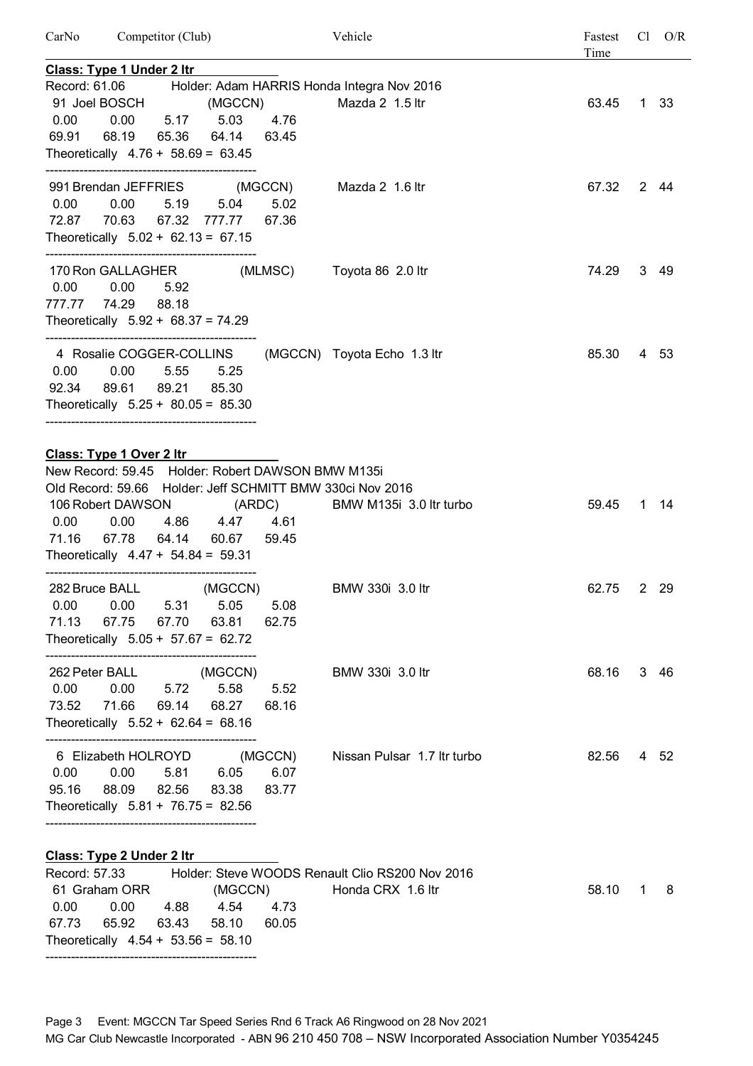| CarNo         |                                                                                                                           | Competitor (Club) |                        |                                                   | Vehicle                                                                              | Fastest<br>Time |              | $Cl$ $O/R$ |
|---------------|---------------------------------------------------------------------------------------------------------------------------|-------------------|------------------------|---------------------------------------------------|--------------------------------------------------------------------------------------|-----------------|--------------|------------|
|               | <b>Class: Type 1 Under 2 Itr</b>                                                                                          |                   |                        |                                                   |                                                                                      |                 |              |            |
|               | 91 Joel BOSCH                                                                                                             |                   | (MGCCN)                |                                                   | Record: 61.06 Holder: Adam HARRIS Honda Integra Nov 2016<br>Mazda 2 1.5 ltr          | 63.45           |              | 1 33       |
| 0.00<br>69.91 | 68.19 65.36 64.14<br>Theoretically $4.76 + 58.69 = 63.45$                                                                 |                   | 0.00 5.17 5.03         | 4.76<br>63.45                                     |                                                                                      |                 |              |            |
|               |                                                                                                                           |                   |                        |                                                   |                                                                                      |                 |              |            |
|               | 0.00 0.00<br>72.87 70.63 67.32 777.77<br>Theoretically $5.02 + 62.13 = 67.15$                                             |                   | 5.19 5.04              | 5.02<br>67.36                                     | 991 Brendan JEFFRIES (MGCCN) Mazda 2 1.6 ltr                                         | 67.32           |              | 2 44       |
|               | 170 Ron GALLAGHER<br>0.00 0.00<br>777.77 74.29 88.18<br>Theoretically $5.92 + 68.37 = 74.29$                              | 5.92              |                        |                                                   | (MLMSC) Toyota 86 2.0 ltr                                                            | 74.29           |              | 3 49       |
|               | 4 Rosalie COGGER-COLLINS<br>0.00 0.00<br>92.34 89.61 89.21 85.30<br>Theoretically $5.25 + 80.05 = 85.30$                  |                   | 5.55 5.25              |                                                   | (MGCCN) Toyota Echo 1.3 ltr                                                          | 85.30           |              | 4 53       |
|               | Class: Type 1 Over 2 Itr                                                                                                  |                   |                        |                                                   |                                                                                      |                 |              |            |
|               |                                                                                                                           |                   |                        | New Record: 59.45 Holder: Robert DAWSON BMW M135i |                                                                                      |                 |              |            |
| 0.00          | 106 Robert DAWSON (ARDC)<br>71.16 67.78 64.14 60.67 59.45<br>Theoretically $4.47 + 54.84 = 59.31$                         |                   | 0.00  4.86  4.47  4.61 |                                                   | Old Record: 59.66 Holder: Jeff SCHMITT BMW 330ci Nov 2016<br>BMW M135i 3.0 ltr turbo | 59.45           |              | 1 14       |
|               | 282 Bruce BALL<br>0.00  0.00  5.31  5.05  5.08<br>71.13 67.75 67.70 63.81<br>Theoretically $5.05 + 57.67 = 62.72$         |                   | (MGCCN)                | 62.75                                             | BMW 330i 3.0 ltr                                                                     | 62.75           |              | 2 29       |
|               | 262 Peter BALL (MGCCN)<br>0.00  0.00  5.72  5.58  5.52<br>73.52 71.66 69.14 68.27<br>Theoretically $5.52 + 62.64 = 68.16$ |                   |                        | 68.16                                             | BMW 330i 3.0 ltr                                                                     | 68.16           |              | 3 46       |
|               | 0.00  0.00  5.81  6.05  6.07<br>95.16 88.09 82.56 83.38<br>Theoretically $5.81 + 76.75 = 82.56$                           |                   |                        | 6 Elizabeth HOLROYD (MGCCN)<br>83.77              | Nissan Pulsar 1.7 Itr turbo                                                          | 82.56           |              | 4 52       |
|               | Class: Type 2 Under 2 Itr                                                                                                 |                   |                        |                                                   |                                                                                      |                 |              |            |
| 0.00          | 0.00 4.88 4.54 4.73                                                                                                       |                   |                        | 61 Graham ORR (MGCCN)                             | Record: 57.33 Holder: Steve WOODS Renault Clio RS200 Nov 2016<br>Honda CRX 1.6 ltr   | 58.10           | $\mathbf{1}$ | 8          |
| 67.73         |                                                                                                                           |                   | 65.92 63.43 58.10      | 60.05                                             |                                                                                      |                 |              |            |

Theoretically  $4.54 + 53.56 = 58.10$ --------------------------------------------------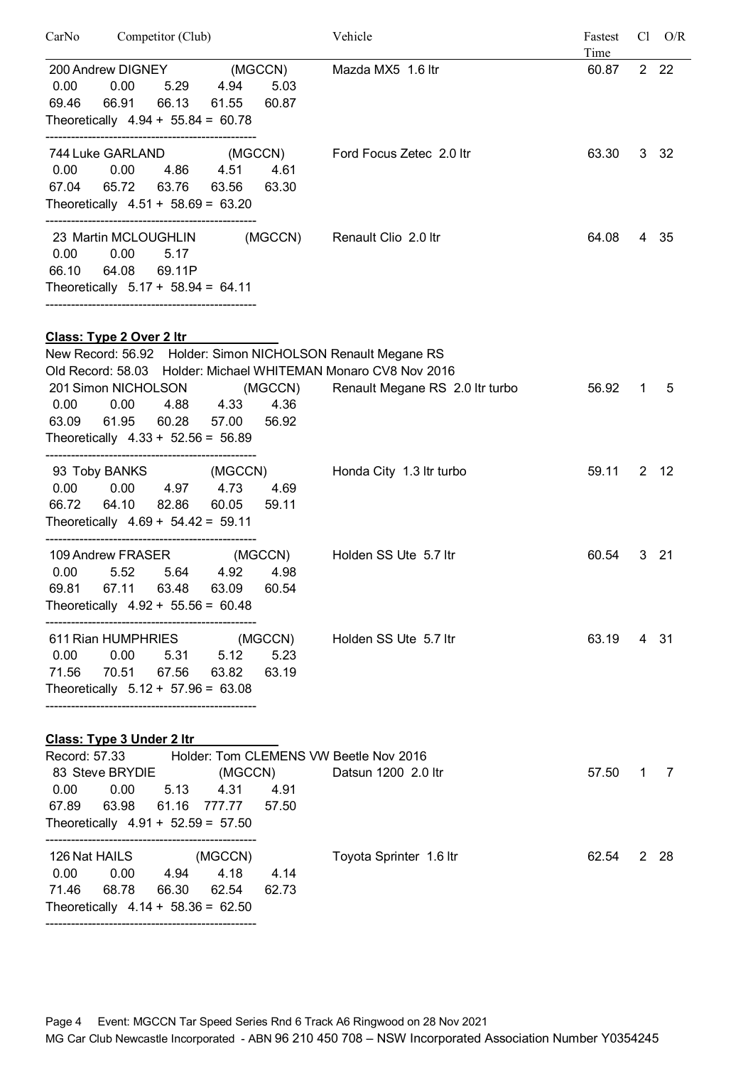| CarNo                                | Competitor (Club)                                                                               |                               |                          | Vehicle                                                                                                                                                          | Fastest<br>Time |   | $Cl$ $O/R$   |
|--------------------------------------|-------------------------------------------------------------------------------------------------|-------------------------------|--------------------------|------------------------------------------------------------------------------------------------------------------------------------------------------------------|-----------------|---|--------------|
| 0.00<br>69.46                        | 200 Andrew DIGNEY<br>0.00<br>5.29<br>66.91<br>66.13<br>Theoretically $4.94 + 55.84 = 60.78$     | (MGCCN)<br>4.94<br>61.55      | 5.03<br>60.87            | Mazda MX5 1.6 ltr                                                                                                                                                | 60.87           |   | 2 2 2        |
| 0.00<br>67.04                        | 0.00<br>4.86<br>63.76<br>65.72<br>Theoretically $4.51 + 58.69 = 63.20$                          | 4.51<br>63.56                 | 4.61<br>63.30            | 744 Luke GARLAND (MGCCN) Ford Focus Zetec 2.0 ltr                                                                                                                | 63.30           |   | 3 32         |
| 0.00<br>66.10                        | 23 Martin MCLOUGHLIN<br>0.00<br>5.17<br>64.08<br>69.11P<br>Theoretically $5.17 + 58.94 = 64.11$ |                               | (MGCCN)                  | Renault Clio 2.0 ltr                                                                                                                                             | 64.08           |   | 4 35         |
|                                      | Class: Type 2 Over 2 Itr                                                                        |                               |                          |                                                                                                                                                                  |                 |   |              |
| 0.00<br>63.09                        | 201 Simon NICHOLSON<br>0.00<br>4.88<br>61.95<br>60.28<br>Theoretically $4.33 + 52.56 = 56.89$   | 4.33<br>57.00                 | (MGCCN)<br>4.36<br>56.92 | New Record: 56.92 Holder: Simon NICHOLSON Renault Megane RS<br>Old Record: 58.03 Holder: Michael WHITEMAN Monaro CV8 Nov 2016<br>Renault Megane RS 2.0 Itr turbo | 56.92           | 1 | 5            |
| 0.00<br>66.72                        | 93 Toby BANKS<br>0.00<br>4.97<br>64.10<br>82.86<br>Theoretically $4.69 + 54.42 = 59.11$         | (MGCCN)<br>4.73<br>60.05      | 4.69<br>59.11            | Honda City 1.3 Itr turbo                                                                                                                                         | 59.11           |   | $2 \quad 12$ |
| 0.00<br>69.81                        | 109 Andrew FRASER<br>5.52<br>5.64<br>67.11<br>63.48<br>Theoretically $4.92 + 55.56 = 60.48$     | 4.92<br>63.09                 | (MGCCN)<br>4.98<br>60.54 | Holden SS Ute 5.7 ltr                                                                                                                                            | 60.54           |   | $3 \quad 21$ |
| 0.00<br>71.56 70.51                  | 611 Rian HUMPHRIES<br>0.00<br>67.56<br>Theoretically $5.12 + 57.96 = 63.08$                     | (MGCCN)<br>5.31 5.12<br>63.82 | 5.23<br>63.19            | Holden SS Ute 5.7 ltr                                                                                                                                            | 63.19           |   | 431          |
|                                      | Class: Type 3 Under 2 Itr                                                                       |                               |                          |                                                                                                                                                                  |                 |   |              |
| 0.00<br>67.89 63.98                  | 83 Steve BRYDIE (MGCCN)<br>0.00<br>5.13<br>61.16<br>Theoretically $4.91 + 52.59 = 57.50$        | 4.31<br>777.77                | 4.91<br>57.50            | Record: 57.33 Holder: Tom CLEMENS VW Beetle Nov 2016<br>Datsun 1200 2.0 ltr                                                                                      | 57.50           |   | $1 \quad 7$  |
| 126 Nat HAILS<br>0.00<br>71.46 68.78 | 0.00<br>4.94<br>66.30<br>Theoretically $4.14 + 58.36 = 62.50$                                   | (MGCCN)<br>4.18 4.14<br>62.54 | 62.73                    | Toyota Sprinter 1.6 ltr                                                                                                                                          | 62.54           |   | 2 28         |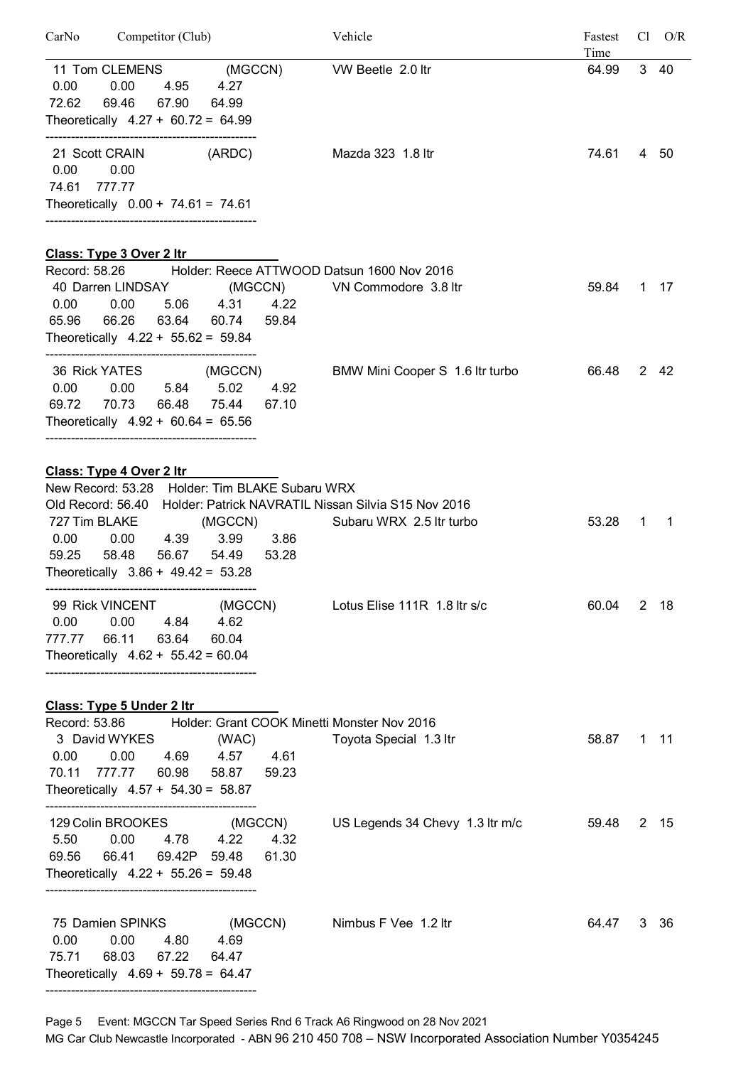| CarNo Competitor (Club)                                                                                                                                                                                       | Vehicle                                              | Fastest<br>Time | $Cl$ $O/R$ |
|---------------------------------------------------------------------------------------------------------------------------------------------------------------------------------------------------------------|------------------------------------------------------|-----------------|------------|
| 11 Tom CLEMENS (MGCCN) VW Beetle 2.0 ltr<br>4.95 4.27<br>0.00<br>0.00<br>72.62<br>69.46<br>67.90<br>64.99<br>Theoretically $4.27 + 60.72 = 64.99$                                                             |                                                      | 64.99           | 3 40       |
| (ARDC)<br>21 Scott CRAIN<br>0.00<br>0.00<br>74.61 777.77                                                                                                                                                      | Mazda 323 1.8 ltr                                    | 74.61           | 4 50       |
| Theoretically $0.00 + 74.61 = 74.61$                                                                                                                                                                          |                                                      |                 |            |
| <u>Class: Type 3 Over 2 Itr</u>                                                                                                                                                                               |                                                      |                 |            |
| Record: 58.26 Holder: Reece ATTWOOD Datsun 1600 Nov 2016<br>40 Darren LINDSAY (MGCCN) VN Commodore 3.8 ltr<br>0.00 0.00<br>5.06 4.31 4.22<br>65.96 66.26 63.64 60.74<br>Theoretically $4.22 + 55.62 = 59.84$  | 59.84                                                | 59.84           | 1 17       |
| 36 Rick YATES (MGCCN)<br>$0.00$ $0.00$ $5.84$ $5.02$<br>69.72 70.73 66.48 75.44 67.10<br>Theoretically $4.92 + 60.64 = 65.56$                                                                                 | BMW Mini Cooper S 1.6 Itr turbo<br>4.92              | 66.48           | 2 42       |
| Class: Type 4 Over 2 Itr                                                                                                                                                                                      |                                                      |                 |            |
| New Record: 53.28 Holder: Tim BLAKE Subaru WRX                                                                                                                                                                |                                                      |                 |            |
| Old Record: 56.40 Holder: Patrick NAVRATIL Nissan Silvia S15 Nov 2016<br>727 Tim BLAKE (MGCCN)<br>0.00  0.00  4.39  3.99  3.86<br>59.25<br>58.48<br>56.67 54.49 53.28<br>Theoretically $3.86 + 49.42 = 53.28$ | Subaru WRX 2.5 Itr turbo                             | 53.28<br>1      | -1         |
| 0.00<br>4.84 4.62<br>0.00<br>777.77<br>66.11<br>63.64 60.04<br>Theoretically $4.62 + 55.42 = 60.04$                                                                                                           | 99 Rick VINCENT (MGCCN) Lotus Elise 111R 1.8 ltr s/c | 60.04           | 2 18       |
| <b>Class: Type 5 Under 2 Itr</b>                                                                                                                                                                              |                                                      |                 |            |
| Record: 53.86 Holder: Grant COOK Minetti Monster Nov 2016<br>3 David WYKES (WAC)<br>0.00  0.00  4.69  4.57  4.61<br>70.11 777.77 60.98 58.87 59.23<br>Theoretically $4.57 + 54.30 = 58.87$                    | Toyota Special 1.3 ltr                               | 58.87           | $1 \t11$   |
| 129 Colin BROOKES (MGCCN)<br>5.50  0.00  4.78  4.22  4.32<br>69.56<br>66.41  69.42P  59.48<br>Theoretically $4.22 + 55.26 = 59.48$                                                                            | US Legends 34 Chevy 1.3 ltr m/c<br>61.30             | 59.48           | 2 15       |
| 75 Damien SPINKS (MGCCN) Nimbus F Vee 1.2 ltr<br>0.00 0.00<br>4.80 4.69<br>75.71 68.03<br>67.22<br>64.47<br>Theoretically $4.69 + 59.78 = 64.47$                                                              |                                                      | 64.47           | 3 36       |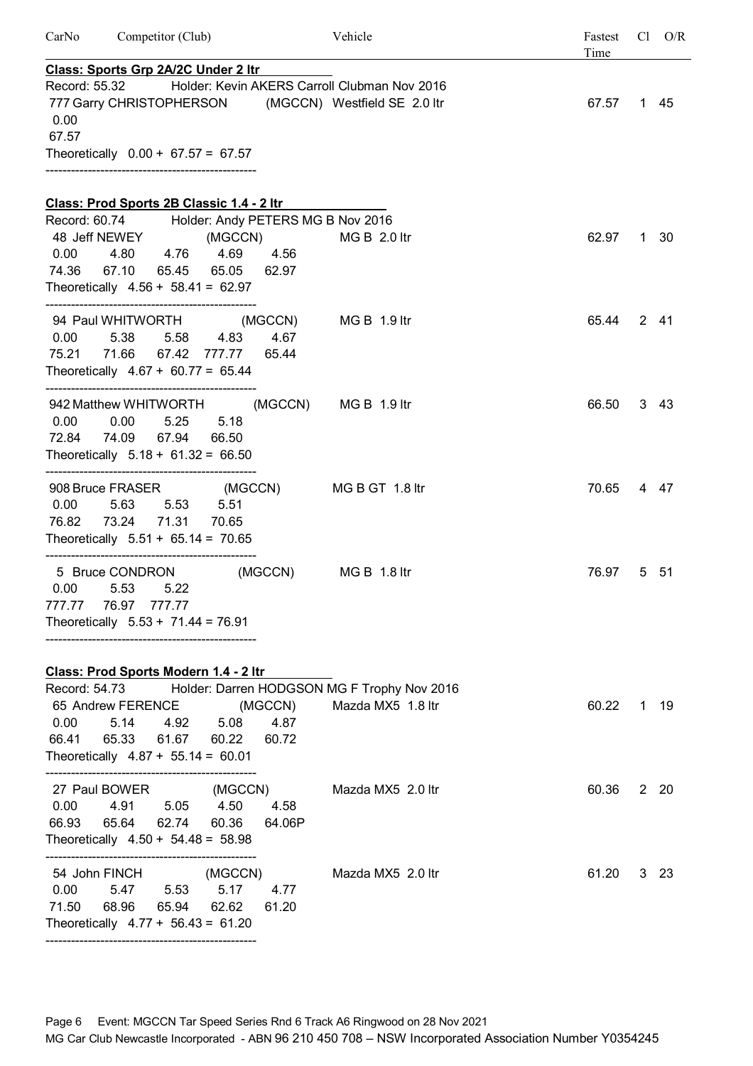| CarNo         | Competitor (Club)                                                                                          |                                                                                 | Vehicle                                                                                               | Fastest<br>Time | $Cl$ $O/R$ |
|---------------|------------------------------------------------------------------------------------------------------------|---------------------------------------------------------------------------------|-------------------------------------------------------------------------------------------------------|-----------------|------------|
| 0.00<br>67.57 | Class: Sports Grp 2A/2C Under 2 Itr<br>Record: 55.32<br>Theoretically $0.00 + 67.57 = 67.57$               |                                                                                 | Holder: Kevin AKERS Carroll Clubman Nov 2016<br>777 Garry CHRISTOPHERSON (MGCCN) Westfield SE 2.0 ltr | 67.57           | 1 45       |
|               | Class: Prod Sports 2B Classic 1.4 - 2 ltr                                                                  |                                                                                 |                                                                                                       |                 |            |
| 0.00<br>74.36 | 48 Jeff NEWEY<br>4.80  4.76  4.69<br>67.10 65.45 65.05 62.97<br>Theoretically $4.56 + 58.41 = 62.97$       | Record: 60.74 Holder: Andy PETERS MG B Nov 2016<br>(MGCCN) MG B 2.0 ltr<br>4.56 |                                                                                                       | 62.97           | 1 30       |
| 0.00          | 5.38 5.58 4.83<br>75.21 71.66 67.42 777.77<br>Theoretically $4.67 + 60.77 = 65.44$                         | 94 Paul WHITWORTH (MGCCN)<br>4.67<br>65.44                                      | MG B 1.9 ltr                                                                                          | 65.44           | 2 41       |
| 0.00          | 942 Matthew WHITWORTH<br>0.00<br>5.25<br>72.84 74.09 67.94<br>Theoretically $5.18 + 61.32 = 66.50$         | 5.18<br>66.50                                                                   | (MGCCN) MG B 1.9 ltr                                                                                  | 66.50           | 3 43       |
| 0.00<br>76.82 | 908 Bruce FRASER (MGCCN)<br>5.63<br>5.53 5.51<br>73.24 71.31 70.65<br>Theoretically $5.51 + 65.14 = 70.65$ |                                                                                 | MG B GT 1.8 ltr                                                                                       | 70.65           | 4 47       |
|               | 5 Bruce CONDRON<br>$0.00$ $5.53$ $5.22$<br>777.77 76.97 777.77<br>Theoretically $5.53 + 71.44 = 76.91$     | (MGCCN)                                                                         | $MGB$ 1.8 ltr                                                                                         | 76.97           | 5 51       |
|               | Class: Prod Sports Modern 1.4 - 2 ltr                                                                      |                                                                                 |                                                                                                       |                 |            |
| 0.00          | 5.14<br>66.41 65.33 61.67 60.22<br>Theoretically $4.87 + 55.14 = 60.01$                                    | 65 Andrew FERENCE (MGCCN)<br>4.92 5.08<br>4.87<br>60.72                         | Record: 54.73 Holder: Darren HODGSON MG F Trophy Nov 2016<br>Mazda MX5 1.8 ltr                        | 60.22           | 1 19       |
| 0.00<br>66.93 | 27 Paul BOWER<br>4.91<br>65.64<br>62.74 60.36<br>Theoretically $4.50 + 54.48 = 58.98$                      | (MGCCN)<br>5.05 4.50<br>4.58<br>64.06P                                          | Mazda MX5 2.0 ltr                                                                                     | 60.36           | 2 20       |
| 0.00<br>71.50 | 54 John FINCH (MGCCN)<br>5.47 5.53<br>68.96<br>65.94 62.62<br>Theoretically $4.77 + 56.43 = 61.20$         | 5.17<br>4.77<br>61.20                                                           | Mazda MX5 2.0 ltr                                                                                     | 61.20           | 3 23       |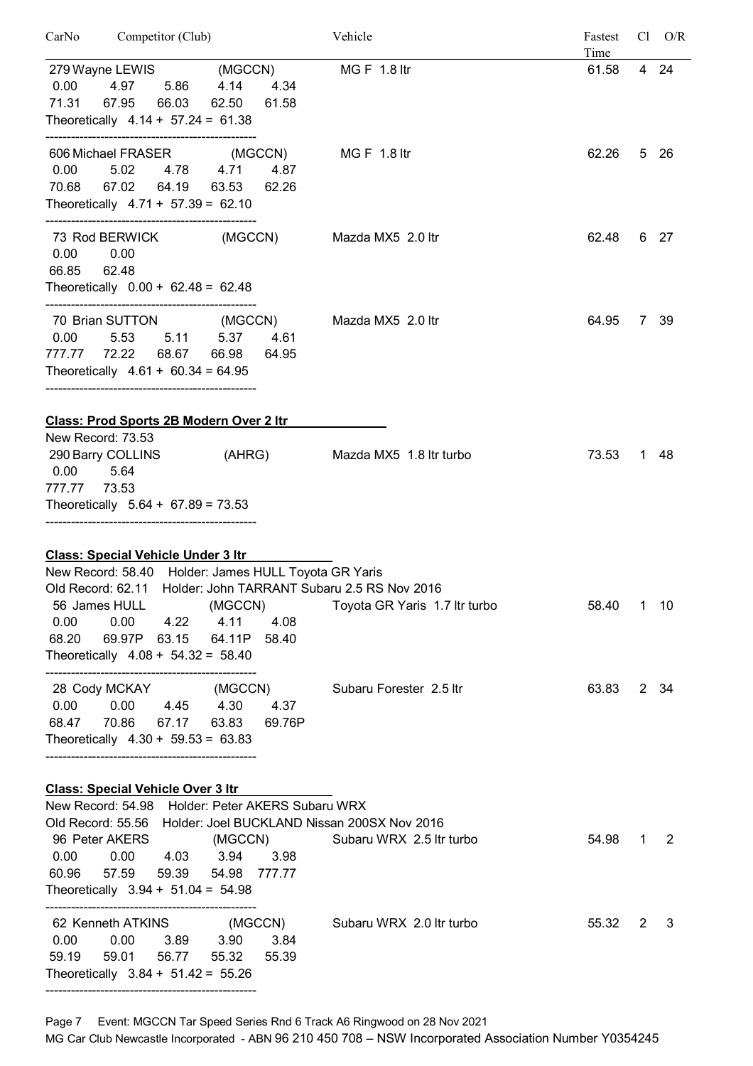| Competitor (Club)<br>CarNo                                                                   | Vehicle                       | Fastest |   | $Cl$ $O/R$   |
|----------------------------------------------------------------------------------------------|-------------------------------|---------|---|--------------|
|                                                                                              |                               | Time    |   | 4 24         |
| 279 Wayne LEWIS (MGCCN)<br>0.00<br>5.86<br>4.14<br>4.34<br>4.97                              | <b>MGF 1.8 ltr</b>            | 61.58   |   |              |
| 67.95<br>66.03<br>71.31<br>62.50<br>61.58                                                    |                               |         |   |              |
| Theoretically $4.14 + 57.24 = 61.38$                                                         |                               |         |   |              |
|                                                                                              |                               |         |   |              |
| 606 Michael FRASER (MGCCN)                                                                   | MG F $\,$ 1.8 ltr             | 62.26   |   | 5 26         |
| 0.00<br>5.02<br>4.78 4.71<br>4.87                                                            |                               |         |   |              |
| 70.68 67.02<br>64.19<br>63.53<br>62.26                                                       |                               |         |   |              |
| Theoretically $4.71 + 57.39 = 62.10$                                                         |                               |         |   |              |
|                                                                                              |                               |         |   |              |
| 73 Rod BERWICK (MGCCN)                                                                       | Mazda MX5 2.0 ltr             | 62.48   |   | 6 27         |
| 0.00<br>0.00                                                                                 |                               |         |   |              |
| 66.85<br>62.48                                                                               |                               |         |   |              |
| Theoretically $0.00 + 62.48 = 62.48$                                                         |                               |         |   |              |
| 70 Brian SUTTON (MGCCN)                                                                      | Mazda MX5 2.0 ltr             | 64.95   |   | 7 39         |
| 0.00<br>5.53 5.11<br>5.37<br>4.61                                                            |                               |         |   |              |
| 777.77 72.22 68.67 66.98<br>64.95                                                            |                               |         |   |              |
| Theoretically $4.61 + 60.34 = 64.95$                                                         |                               |         |   |              |
|                                                                                              |                               |         |   |              |
| <b>Class: Prod Sports 2B Modern Over 2 Itr</b>                                               |                               |         |   |              |
| New Record: 73.53                                                                            |                               |         |   |              |
| 290 Barry COLLINS (AHRG)                                                                     | Mazda MX5 1.8 Itr turbo       | 73.53   |   | 1 48         |
| 0.00<br>5.64                                                                                 |                               |         |   |              |
| 777.77<br>73.53                                                                              |                               |         |   |              |
| Theoretically $5.64 + 67.89 = 73.53$                                                         |                               |         |   |              |
|                                                                                              |                               |         |   |              |
|                                                                                              |                               |         |   |              |
| <b>Class: Special Vehicle Under 3 Itr</b>                                                    |                               |         |   |              |
| New Record: 58.40 Holder: James HULL Toyota GR Yaris                                         |                               |         |   |              |
| Old Record: 62.11 Holder: John TARRANT Subaru 2.5 RS Nov 2016                                |                               |         |   |              |
| 56 James HULL<br>(MGCCN)                                                                     | Toyota GR Yaris 1.7 Itr turbo | 58.40   |   | $1 \quad 10$ |
| 0.00<br>$0.00$ 4.22<br>4.11<br>4.08                                                          |                               |         |   |              |
| 68.20  69.97P  63.15  64.11P  58.40                                                          |                               |         |   |              |
| Theoretically $4.08 + 54.32 = 58.40$                                                         |                               |         |   |              |
| 28 Cody MCKAY (MGCCN)                                                                        | Subaru Forester 2.5 ltr       | 63.83   |   | 2 34         |
| 0.00  0.00  4.45  4.30  4.37                                                                 |                               |         |   |              |
| 68.47 70.86 67.17 63.83 69.76P                                                               |                               |         |   |              |
| Theoretically $4.30 + 59.53 = 63.83$                                                         |                               |         |   |              |
|                                                                                              |                               |         |   |              |
|                                                                                              |                               |         |   |              |
| <b>Class: Special Vehicle Over 3 Itr</b><br>New Record: 54.98 Holder: Peter AKERS Subaru WRX |                               |         |   |              |
| Old Record: 55.56 Holder: Joel BUCKLAND Nissan 200SX Nov 2016                                |                               |         |   |              |
| 96 Peter AKERS (MGCCN)                                                                       | Subaru WRX 2.5 ltr turbo      | 54.98   |   | $1 \quad 2$  |
| 0.00  0.00  4.03  3.94<br>3.98                                                               |                               |         |   |              |
| 60.96  57.59  59.39  54.98  777.77                                                           |                               |         |   |              |
| Theoretically $3.94 + 51.04 = 54.98$                                                         |                               |         |   |              |
|                                                                                              |                               |         |   |              |
| 62 Kenneth ATKINS (MGCCN) Subaru WRX 2.0 ltr turbo                                           |                               | 55.32   | 2 | 3            |
| 0.00  0.00  3.89  3.90  3.84                                                                 |                               |         |   |              |
| 59.19   59.01   56.77   55.32   55.39                                                        |                               |         |   |              |
| Theoretically $3.84 + 51.42 = 55.26$                                                         |                               |         |   |              |
|                                                                                              |                               |         |   |              |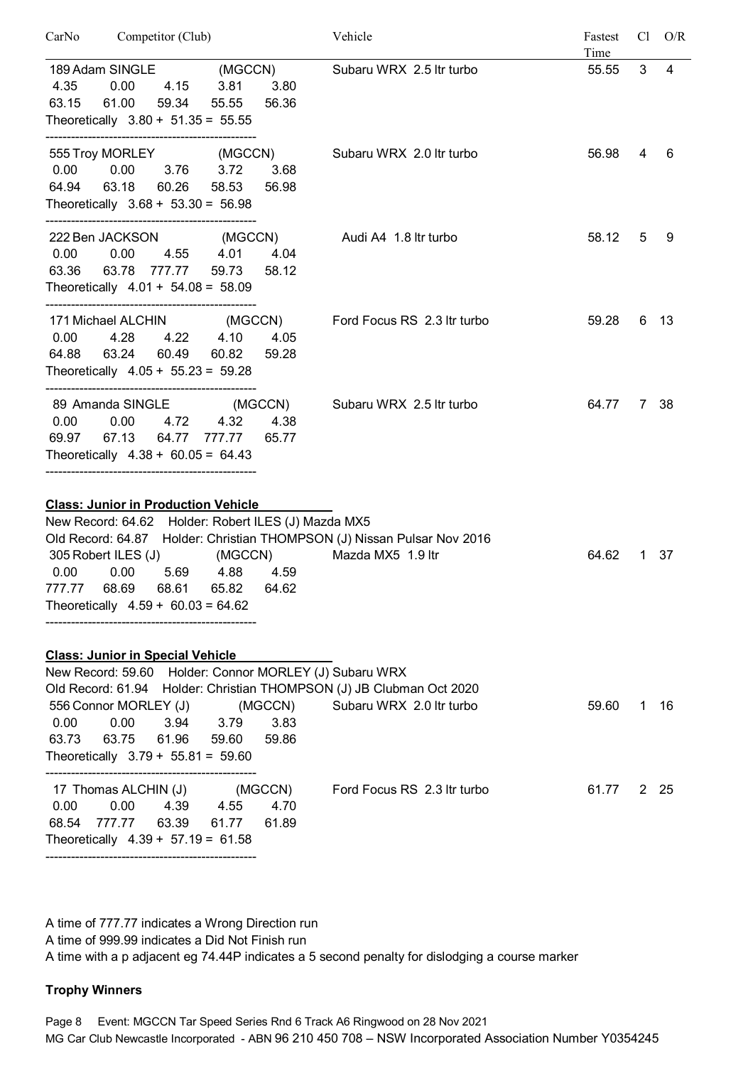| Competitor (Club)<br>CarNo                                                                                                                                                                                                                                                                                                             |                                   | Vehicle                     | Fastest<br>Time | Cl          | O/R  |
|----------------------------------------------------------------------------------------------------------------------------------------------------------------------------------------------------------------------------------------------------------------------------------------------------------------------------------------|-----------------------------------|-----------------------------|-----------------|-------------|------|
| 189 Adam SINGLE (MGCCN)<br>4.35<br>0.00<br>4.15<br>3.81<br>63.15<br>61.00<br>59.34<br>Theoretically $3.80 + 51.35 = 55.55$                                                                                                                                                                                                             | 3.80<br>55.55<br>56.36            | Subaru WRX 2.5 Itr turbo    | 55.55           | 3           | 4    |
| 555 Troy MORLEY<br>0.00<br>0.00<br>3.76<br>3.72<br>64.94<br>63.18<br>60.26<br>Theoretically $3.68 + 53.30 = 56.98$                                                                                                                                                                                                                     | (MGCCN)<br>3.68<br>58.53<br>56.98 | Subaru WRX 2.0 Itr turbo    | 56.98           | 4           | 6    |
| 222 Ben JACKSON (MGCCN)<br>0.00<br>0.00<br>4.55<br>4.01<br>63.36 63.78 777.77<br>Theoretically $4.01 + 54.08 = 58.09$                                                                                                                                                                                                                  | 4.04<br>59.73<br>58.12            | Audi A4 1.8 ltr turbo       | 58.12           | 5           | 9    |
| 171 Michael ALCHIN (MGCCN)<br>0.00<br>4.28<br>4.22 4.10<br>63.24<br>64.88<br>60.49<br>Theoretically $4.05 + 55.23 = 59.28$                                                                                                                                                                                                             | 4.05<br>60.82<br>59.28            | Ford Focus RS 2.3 Itr turbo | 59.28           |             | 6 13 |
| 89 Amanda SINGLE<br>0.00<br>0.00<br>4.72<br>67.13<br>64.77<br>69.97<br>777.77<br>Theoretically $4.38 + 60.05 = 64.43$                                                                                                                                                                                                                  | (MGCCN)<br>4.32<br>4.38<br>65.77  | Subaru WRX 2.5 Itr turbo    | 64.77           | $7^{\circ}$ | -38  |
| <b>Class: Junior in Production Vehicle</b><br>New Record: 64.62 Holder: Robert ILES (J) Mazda MX5<br>Old Record: 64.87 Holder: Christian THOMPSON (J) Nissan Pulsar Nov 2016<br>305 Robert ILES (J)<br>0.00<br>0.00<br>5.69<br>4.88<br>777.77 68.69 68.61 65.82 64.62<br>Theoretically $4.59 + 60.03 = 64.62$                          | (MGCCN)<br>4.59                   | Mazda MX5 1.9 ltr           | 64.62           | 1           | -37  |
| <b>Class: Junior in Special Vehicle</b><br>New Record: 59.60 Holder: Connor MORLEY (J) Subaru WRX<br>Old Record: 61.94 Holder: Christian THOMPSON (J) JB Clubman Oct 2020<br>556 Connor MORLEY (J) (MGCCN) Subaru WRX 2.0 ltr turbo<br>0.00<br>0.00<br>3.94 3.79<br>61.96 59.60<br>63.73 63.75<br>Theoretically $3.79 + 55.81 = 59.60$ | 3.83<br>59.86                     |                             | 59.60           |             | 1 16 |
| 17 Thomas ALCHIN (J) (MGCCN) Ford Focus RS 2.3 ltr turbo<br>$0.00$ $0.00$ $4.39$ $4.55$<br>68.54 777.77 63.39 61.77 61.89<br>Theoretically $4.39 + 57.19 = 61.58$                                                                                                                                                                      | 4.70                              |                             | 61.77           |             | 2 25 |

A time of 777.77 indicates a Wrong Direction run

A time of 999.99 indicates a Did Not Finish run

A time with a p adjacent eg 74.44P indicates a 5 second penalty for dislodging a course marker

#### **Trophy Winners**

Page 8 Event: MGCCN Tar Speed Series Rnd 6 Track A6 Ringwood on 28 Nov 2021 MG Car Club Newcastle Incorporated - ABN 96 210 450 708 – NSW Incorporated Association Number Y0354245